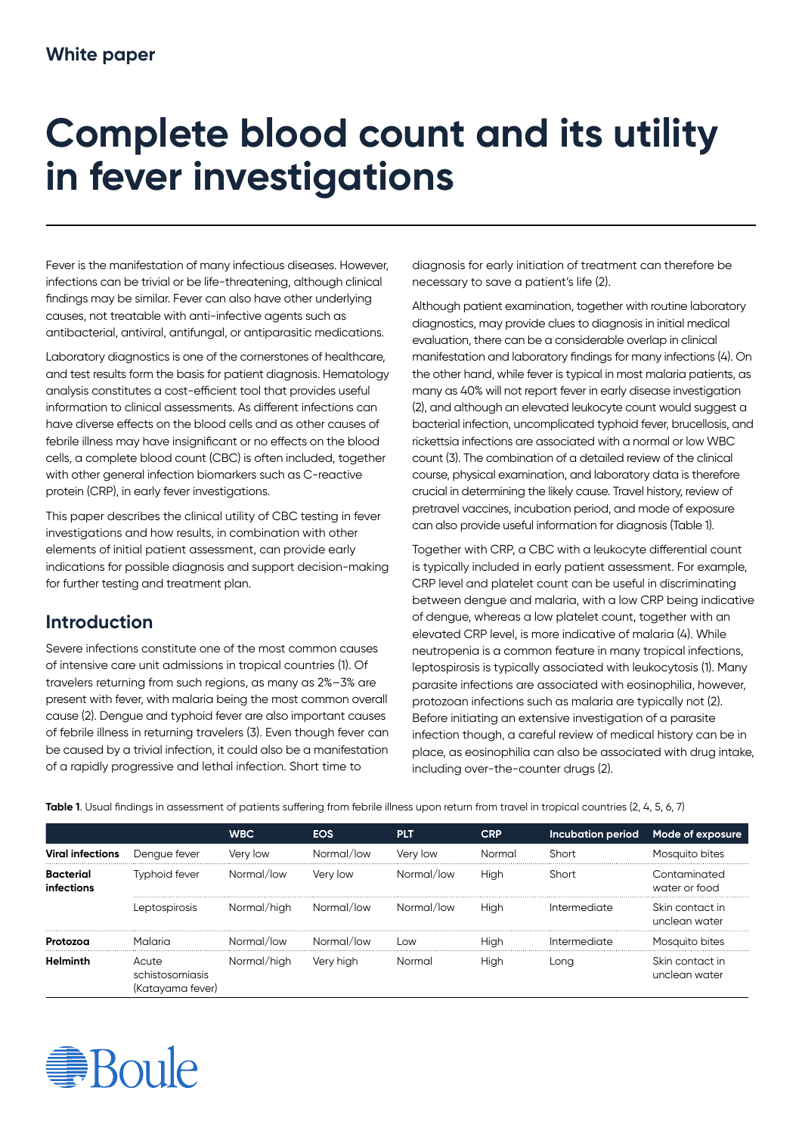# **Complete blood count and its utility in fever investigations**

Fever is the manifestation of many infectious diseases. However, infections can be trivial or be life-threatening, although clinical findings may be similar. Fever can also have other underlying causes, not treatable with anti-infective agents such as antibacterial, antiviral, antifungal, or antiparasitic medications.

Laboratory diagnostics is one of the cornerstones of healthcare, and test results form the basis for patient diagnosis. Hematology analysis constitutes a cost-efficient tool that provides useful information to clinical assessments. As different infections can have diverse effects on the blood cells and as other causes of febrile illness may have insignificant or no effects on the blood cells, a complete blood count (CBC) is often included, together with other general infection biomarkers such as C-reactive protein (CRP), in early fever investigations.

This paper describes the clinical utility of CBC testing in fever investigations and how results, in combination with other elements of initial patient assessment, can provide early indications for possible diagnosis and support decision-making for further testing and treatment plan.

## **Introduction**

Severe infections constitute one of the most common causes of intensive care unit admissions in tropical countries (1). Of travelers returning from such regions, as many as 2%–3% are present with fever, with malaria being the most common overall cause (2). Dengue and typhoid fever are also important causes of febrile illness in returning travelers (3). Even though fever can be caused by a trivial infection, it could also be a manifestation of a rapidly progressive and lethal infection. Short time to

diagnosis for early initiation of treatment can therefore be necessary to save a patient's life (2).

Although patient examination, together with routine laboratory diagnostics, may provide clues to diagnosis in initial medical evaluation, there can be a considerable overlap in clinical manifestation and laboratory findings for many infections (4). On the other hand, while fever is typical in most malaria patients, as many as 40% will not report fever in early disease investigation (2), and although an elevated leukocyte count would suggest a bacterial infection, uncomplicated typhoid fever, brucellosis, and rickettsia infections are associated with a normal or low WBC count (3). The combination of a detailed review of the clinical course, physical examination, and laboratory data is therefore crucial in determining the likely cause. Travel history, review of pretravel vaccines, incubation period, and mode of exposure can also provide useful information for diagnosis (Table 1).

Together with CRP, a CBC with a leukocyte differential count is typically included in early patient assessment. For example, CRP level and platelet count can be useful in discriminating between dengue and malaria, with a low CRP being indicative of dengue, whereas a low platelet count, together with an elevated CRP level, is more indicative of malaria (4). While neutropenia is a common feature in many tropical infections, leptospirosis is typically associated with leukocytosis (1). Many parasite infections are associated with eosinophilia, however, protozoan infections such as malaria are typically not (2). Before initiating an extensive investigation of a parasite infection though, a careful review of medical history can be in place, as eosinophilia can also be associated with drug intake, including over-the-counter drugs (2).

|                         |                                              | <b>WBC</b>  | <b>EOS</b> | <b>PLT</b> | <b>CRP</b> | Incubation period | Mode of exposure                 |
|-------------------------|----------------------------------------------|-------------|------------|------------|------------|-------------------|----------------------------------|
| Viral infections        | Dengue fever                                 | Very low    | Normal/low | Very low   | Normal     | Short             | Mosauito bites                   |
| Bacterial<br>infections | Typhoid fever                                | Normal/low  | Very low   | Normal/low | High       | Short             | Contaminated<br>water or food    |
|                         | Leptospirosis                                | Normal/high | Normal/low | Normal/low | High       | Intermediate      | Skin contact in<br>unclean water |
| Protozoa                | Malaria                                      | Normal/low  | Normal/low | Low        | High       | Intermediate      | Mosquito bites                   |
| <b>Helminth</b>         | Acute<br>schistosomiasis<br>(Katayama fever) | Normal/high | Very high  | Normal     | High       | Lona              | Skin contact in<br>unclean water |

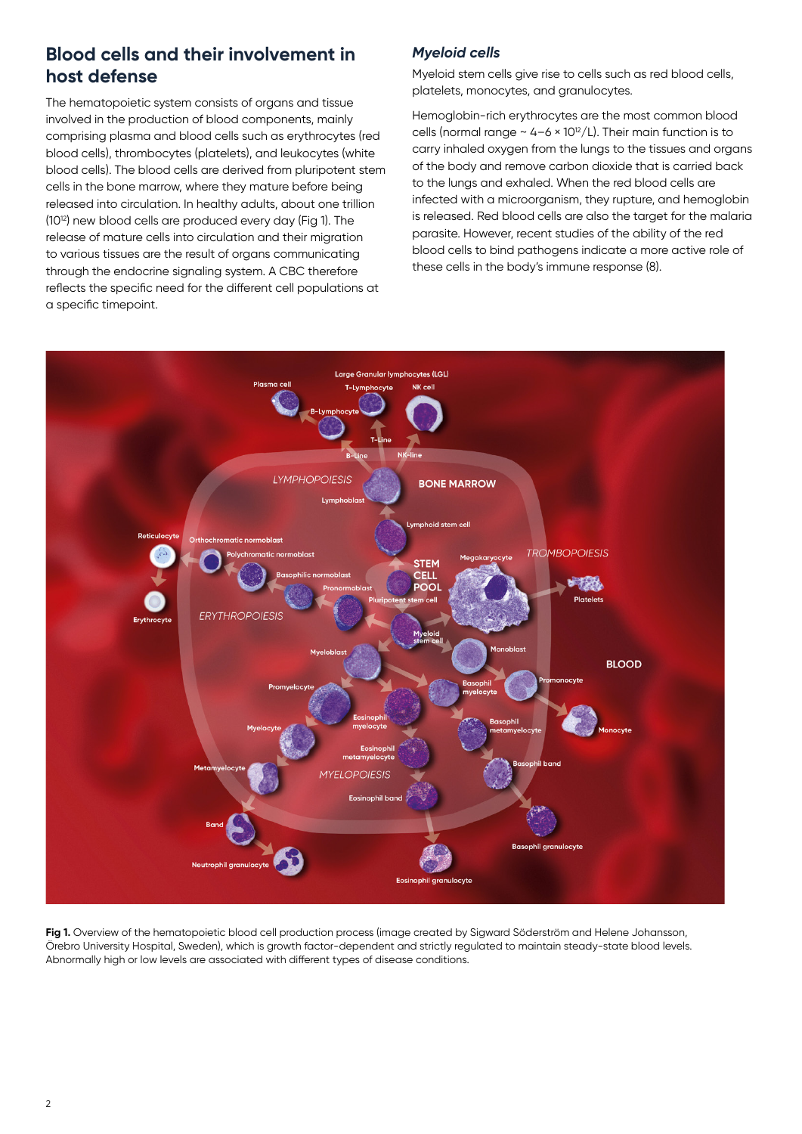# **Blood cells and their involvement in host defense**

The hematopoietic system consists of organs and tissue involved in the production of blood components, mainly comprising plasma and blood cells such as erythrocytes (red blood cells), thrombocytes (platelets), and leukocytes (white blood cells). The blood cells are derived from pluripotent stem cells in the bone marrow, where they mature before being released into circulation. In healthy adults, about one trillion (1012) new blood cells are produced every day (Fig 1). The release of mature cells into circulation and their migration to various tissues are the result of organs communicating through the endocrine signaling system. A CBC therefore reflects the specific need for the different cell populations at a specific timepoint.

## *Myeloid cells*

Myeloid stem cells give rise to cells such as red blood cells, platelets, monocytes, and granulocytes.

Hemoglobin-rich erythrocytes are the most common blood cells (normal range  $\sim$  4-6  $\times$  10<sup>12</sup>/L). Their main function is to carry inhaled oxygen from the lungs to the tissues and organs of the body and remove carbon dioxide that is carried back to the lungs and exhaled. When the red blood cells are infected with a microorganism, they rupture, and hemoglobin is released. Red blood cells are also the target for the malaria parasite. However, recent studies of the ability of the red blood cells to bind pathogens indicate a more active role of these cells in the body's immune response (8).



**Fig 1.** Overview of the hematopoietic blood cell production process (image created by Sigward Söderström and Helene Johansson, Örebro University Hospital, Sweden), which is growth factor-dependent and strictly regulated to maintain steady-state blood levels. Abnormally high or low levels are associated with different types of disease conditions.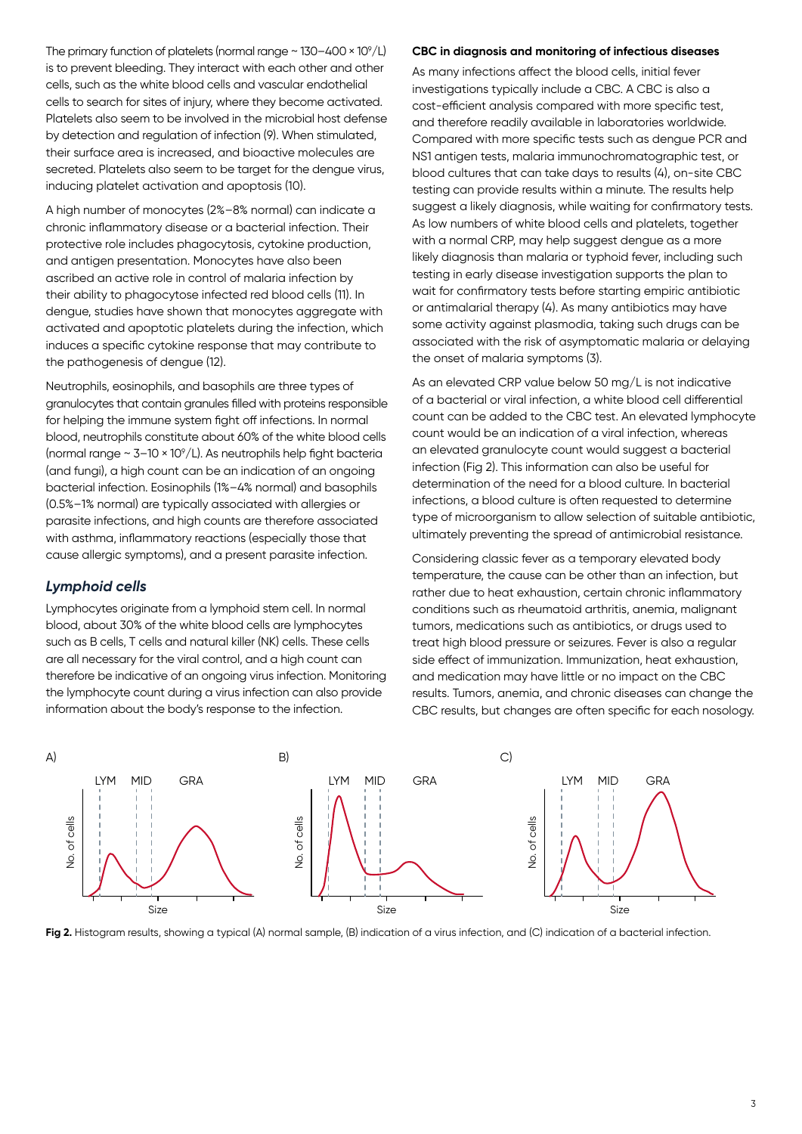The primary function of platelets (normal range  $\sim$  130–400 × 10 $^{\circ}/$ L) is to prevent bleeding. They interact with each other and other cells, such as the white blood cells and vascular endothelial cells to search for sites of injury, where they become activated. Platelets also seem to be involved in the microbial host defense by detection and regulation of infection (9). When stimulated, their surface area is increased, and bioactive molecules are secreted. Platelets also seem to be target for the dengue virus, inducing platelet activation and apoptosis (10).

A high number of monocytes (2%–8% normal) can indicate a chronic inflammatory disease or a bacterial infection. Their protective role includes phagocytosis, cytokine production, and antigen presentation. Monocytes have also been ascribed an active role in control of malaria infection by their ability to phagocytose infected red blood cells (11). In dengue, studies have shown that monocytes aggregate with activated and apoptotic platelets during the infection, which induces a specific cytokine response that may contribute to the pathogenesis of dengue (12).

Neutrophils, eosinophils, and basophils are three types of granulocytes that contain granules filled with proteins responsible for helping the immune system fight off infections. In normal blood, neutrophils constitute about 60% of the white blood cells (normal range ~ 3–10 × 109 /L). As neutrophils help fight bacteria (and fungi), a high count can be an indication of an ongoing bacterial infection. Eosinophils (1%–4% normal) and basophils (0.5%–1% normal) are typically associated with allergies or parasite infections, and high counts are therefore associated with asthma, inflammatory reactions (especially those that cause allergic symptoms), and a present parasite infection.

## *Lymphoid cells*

Lymphocytes originate from a lymphoid stem cell. In normal blood, about 30% of the white blood cells are lymphocytes such as B cells, T cells and natural killer (NK) cells. These cells are all necessary for the viral control, and a high count can therefore be indicative of an ongoing virus infection. Monitoring the lymphocyte count during a virus infection can also provide information about the body's response to the infection.

## **CBC in diagnosis and monitoring of infectious diseases**

As many infections affect the blood cells, initial fever investigations typically include a CBC. A CBC is also a cost-efficient analysis compared with more specific test, and therefore readily available in laboratories worldwide. Compared with more specific tests such as dengue PCR and NS1 antigen tests, malaria immunochromatographic test, or blood cultures that can take days to results (4), on-site CBC testing can provide results within a minute. The results help suggest a likely diagnosis, while waiting for confirmatory tests. As low numbers of white blood cells and platelets, together with a normal CRP, may help suggest dengue as a more likely diagnosis than malaria or typhoid fever, including such testing in early disease investigation supports the plan to wait for confirmatory tests before starting empiric antibiotic or antimalarial therapy (4). As many antibiotics may have some activity against plasmodia, taking such drugs can be associated with the risk of asymptomatic malaria or delaying the onset of malaria symptoms (3).

As an elevated CRP value below 50 mg/L is not indicative of a bacterial or viral infection, a white blood cell differential count can be added to the CBC test. An elevated lymphocyte count would be an indication of a viral infection, whereas an elevated granulocyte count would suggest a bacterial infection (Fig 2). This information can also be useful for determination of the need for a blood culture. In bacterial infections, a blood culture is often requested to determine type of microorganism to allow selection of suitable antibiotic, ultimately preventing the spread of antimicrobial resistance.

Considering classic fever as a temporary elevated body temperature, the cause can be other than an infection, but rather due to heat exhaustion, certain chronic inflammatory conditions such as rheumatoid arthritis, anemia, malignant tumors, medications such as antibiotics, or drugs used to treat high blood pressure or seizures. Fever is also a regular side effect of immunization. Immunization, heat exhaustion, and medication may have little or no impact on the CBC results. Tumors, anemia, and chronic diseases can change the CBC results, but changes are often specific for each nosology.



**Fig 2.** Histogram results, showing a typical (A) normal sample, (B) indication of a virus infection, and (C) indication of a bacterial infection.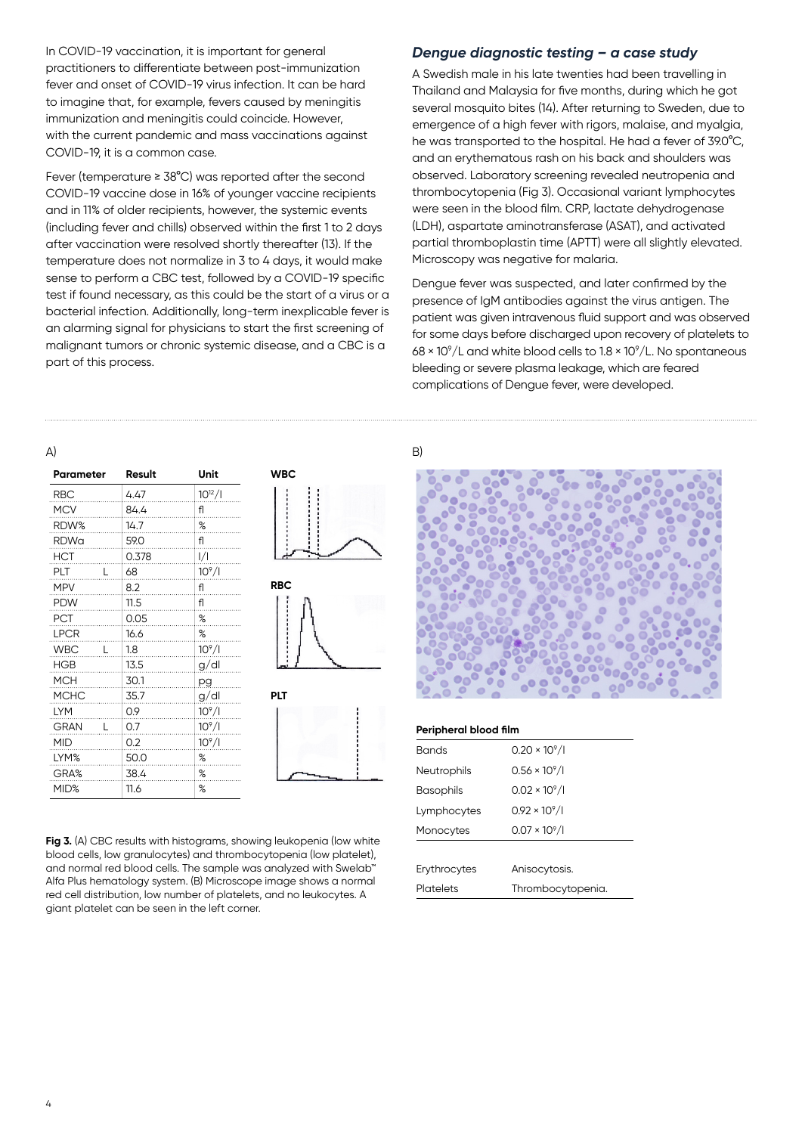In COVID-19 vaccination, it is important for general practitioners to differentiate between post-immunization fever and onset of COVID-19 virus infection. It can be hard to imagine that, for example, fevers caused by meningitis immunization and meningitis could coincide. However, with the current pandemic and mass vaccinations against COVID-19, it is a common case.

Fever (temperature ≥ 38°C) was reported after the second COVID-19 vaccine dose in 16% of younger vaccine recipients and in 11% of older recipients, however, the systemic events (including fever and chills) observed within the first 1 to 2 days after vaccination were resolved shortly thereafter (13). If the temperature does not normalize in 3 to 4 days, it would make sense to perform a CBC test, followed by a COVID-19 specific test if found necessary, as this could be the start of a virus or a bacterial infection. Additionally, long-term inexplicable fever is an alarming signal for physicians to start the first screening of malignant tumors or chronic systemic disease, and a CBC is a part of this process.

#### *Dengue diagnostic testing – a case study*

A Swedish male in his late twenties had been travelling in Thailand and Malaysia for five months, during which he got several mosquito bites (14). After returning to Sweden, due to emergence of a high fever with rigors, malaise, and myalgia, he was transported to the hospital. He had a fever of 39.0°C, and an erythematous rash on his back and shoulders was observed. Laboratory screening revealed neutropenia and thrombocytopenia (Fig 3). Occasional variant lymphocytes were seen in the blood film. CRP, lactate dehydrogenase (LDH), aspartate aminotransferase (ASAT), and activated partial thromboplastin time (APTT) were all slightly elevated. Microscopy was negative for malaria.

Dengue fever was suspected, and later confirmed by the presence of IgM antibodies against the virus antigen. The patient was given intravenous fluid support and was observed for some days before discharged upon recovery of platelets to  $68 \times 10^9$ /L and white blood cells to 1.8  $\times$  10 $^9$ /L. No spontaneous bleeding or severe plasma leakage, which are feared complications of Dengue fever, were developed.

#### $(A)$  B)

| Parameter        |   | Result | Unit           |
|------------------|---|--------|----------------|
| RBC              |   | 4.47   | $10^{12}/1$    |
| <b>MCV</b>       |   | 84.4   | fl             |
| RDW <sup>%</sup> |   | 14.7   | %              |
| RDWa             |   | 59.0   | fl             |
| <b>HCT</b>       |   | 0.378  | I/I            |
| PLT              |   | 68     | $10^9/1$       |
| <b>MPV</b>       |   | 8.2    | fl             |
| PDW              |   | 11.5   | fl             |
| PCT              |   | 0.05   | %              |
| <b>LPCR</b>      |   | 16.6   | $% \mathbf{C}$ |
| <b>WBC</b>       | L | 1.8    | $10^9/1$       |
| <b>HGB</b>       |   | 13.5   | g/dl           |
| MCH              |   | 30.1   | pg             |
| <b>MCHC</b>      |   | 35.7   | g/dl           |
| <b>LYM</b>       |   | 0.9    | $10^9/1$       |
| <b>GRAN</b>      |   | 0.7    | $10^9/1$       |
| MID              |   | 0.2    | $10^9/1$       |
| LYM%             |   | 50.0   | %              |
| GRA%             |   | 38.4   | %              |
| MID%             |   | 11.6   | %              |





Fig 3. (A) CBC results with histograms, showing leukopenia (low white blood cells, low granulocytes) and thrombocytopenia (low platelet), and normal red blood cells. The sample was analyzed with Swelab™ Alfa Plus hematology system. (B) Microscope image shows a normal red cell distribution, low number of platelets, and no leukocytes. A giant platelet can be seen in the left corner.



#### **Peripheral blood film**

| <b>Bands</b>       | $0.20 \times 10^9$ /l |  |  |
|--------------------|-----------------------|--|--|
| <b>Neutrophils</b> | $0.56 \times 10^9$ /I |  |  |
| <b>Basophils</b>   | $0.02 \times 10^9$ /I |  |  |
| Lymphocytes        | $0.92 \times 10^9$ /l |  |  |
| Monocytes          | $0.07 \times 10^9$ /I |  |  |
|                    |                       |  |  |
| Erythrocytes       | Anisocytosis.         |  |  |
| Platelets          | Thrombocytopenia.     |  |  |
|                    |                       |  |  |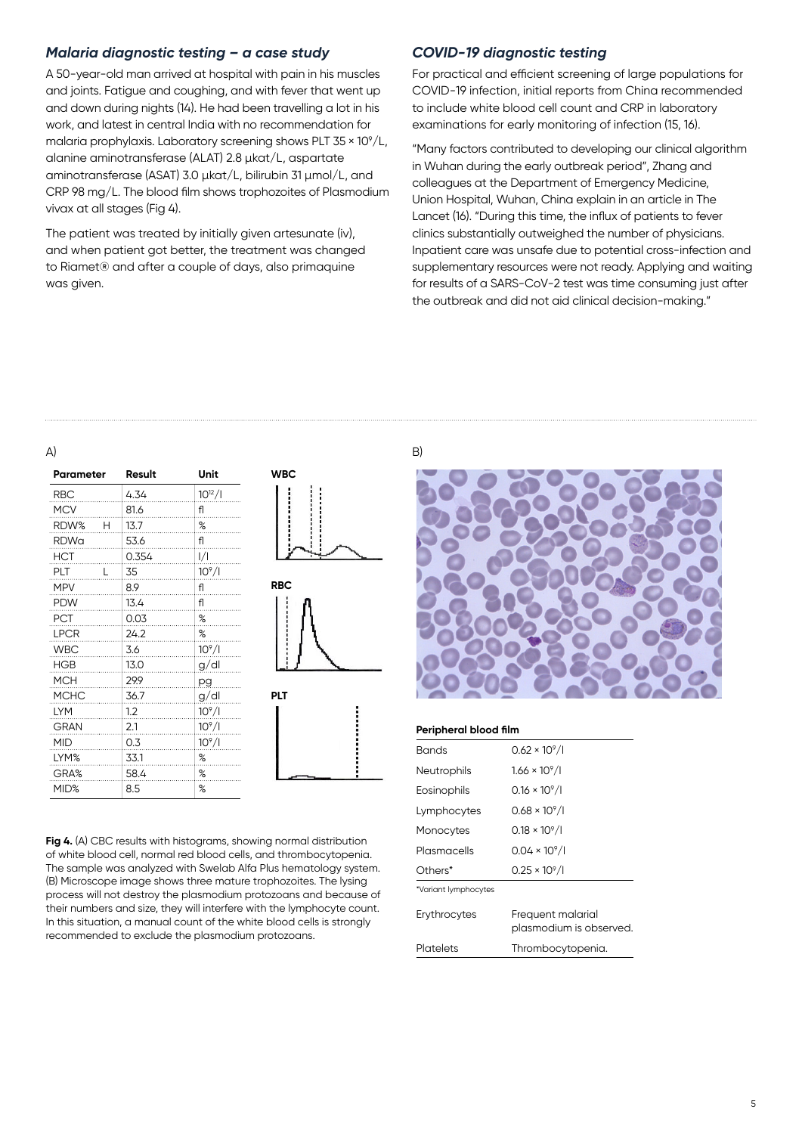## *Malaria diagnostic testing – a case study*

A 50-year-old man arrived at hospital with pain in his muscles and joints. Fatigue and coughing, and with fever that went up and down during nights (14). He had been travelling a lot in his work, and latest in central India with no recommendation for malaria prophylaxis. Laboratory screening shows PLT 35  $\times$  10 $^{\circ}/$ L, alanine aminotransferase (ALAT) 2.8 µkat/L, aspartate aminotransferase (ASAT) 3.0 µkat/L, bilirubin 31 µmol/L, and CRP 98 mg/L. The blood film shows trophozoites of Plasmodium vivax at all stages (Fig 4).

The patient was treated by initially given artesunate (iv), and when patient got better, the treatment was changed to Riamet® and after a couple of days, also primaquine was given.

#### *COVID-19 diagnostic testing*

For practical and efficient screening of large populations for COVID-19 infection, initial reports from China recommended to include white blood cell count and CRP in laboratory examinations for early monitoring of infection (15, 16).

"Many factors contributed to developing our clinical algorithm in Wuhan during the early outbreak period", Zhang and colleagues at the Department of Emergency Medicine, Union Hospital, Wuhan, China explain in an article in The Lancet (16). "During this time, the influx of patients to fever clinics substantially outweighed the number of physicians. Inpatient care was unsafe due to potential cross-infection and supplementary resources were not ready. Applying and waiting for results of a SARS-CoV-2 test was time consuming just after the outbreak and did not aid clinical decision-making."

#### $(A)$  B)

| Parameter   |   | Result   | Unit        |
|-------------|---|----------|-------------|
| RBC         |   | 4.34     | $10^{12}/1$ |
| <b>MCV</b>  |   | 81.6     | fl          |
| RDW%        | н | 13.7     | %           |
| <b>RDWa</b> |   | 53.6     | fl          |
| HCT         |   | 0.354    | I/I         |
| PLT         | U | 35       | $10^9/1$    |
| MPV         |   | 8.9<br>. | fl          |
| <b>PDW</b>  |   | 13.4     | fl          |
| PCT         |   | 0.03     | %           |
| LPCR        |   | 24.2     | %           |
| <b>WBC</b>  |   | 3.6      | $10^9/1$    |
| <b>HGB</b>  |   | 13.0     | g/dl        |
| MCH         |   | 29.9     | pg          |
| <b>MCHC</b> |   | 36.7     | g/dl        |
| <b>LYM</b>  |   | 1.2<br>. | $10^{9}/I$  |
| <b>GRAN</b> |   | 2.1<br>. | $10^9/1$    |
| MID         |   | 0.3      | $10^9/1$    |
| LYM%        |   | 33.1     | %           |
| GRA%        |   | 58.4     | %           |
| MID%        |   | 8.5      | %           |





**Fig 4.** (A) CBC results with histograms, showing normal distribution of white blood cell, normal red blood cells, and thrombocytopenia. The sample was analyzed with Swelab Alfa Plus hematology system. (B) Microscope image shows three mature trophozoites. The lysing process will not destroy the plasmodium protozoans and because of their numbers and size, they will interfere with the lymphocyte count. In this situation, a manual count of the white blood cells is strongly recommended to exclude the plasmodium protozoans.



#### **Peripheral blood film**

| Bands                | $0.62 \times 10^{9}$ /I                      |
|----------------------|----------------------------------------------|
| Neutrophils          | $1.66 \times 10^9 / I$                       |
| Eosinophils          | $0.16 \times 10^9$ /l                        |
| Lymphocytes          | $0.68 \times 10^9$ /I                        |
| Monocytes            | $0.18 \times 10^{9}$ /I                      |
| Plasmacells          | $0.04 \times 10^9$ /l                        |
| Others*              | $0.25 \times 10^9$ /l                        |
| *Variant lymphocytes |                                              |
| Erythrocytes         | Frequent malarial<br>plasmodium is observed. |
| Platelets            | Thrombocytopenia.                            |
|                      |                                              |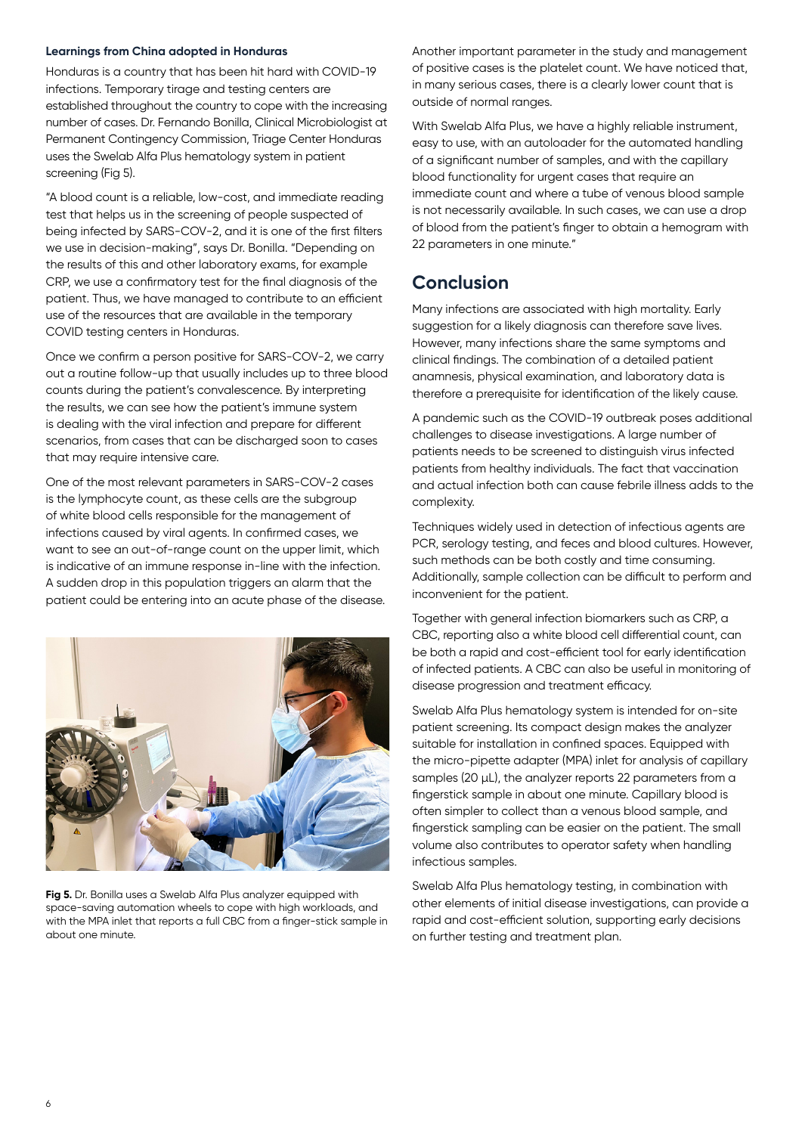#### **Learnings from China adopted in Honduras**

Honduras is a country that has been hit hard with COVID-19 infections. Temporary tirage and testing centers are established throughout the country to cope with the increasing number of cases. Dr. Fernando Bonilla, Clinical Microbiologist at Permanent Contingency Commission, Triage Center Honduras uses the Swelab Alfa Plus hematology system in patient screening (Fig 5).

"A blood count is a reliable, low-cost, and immediate reading test that helps us in the screening of people suspected of being infected by SARS-COV-2, and it is one of the first filters we use in decision-making", says Dr. Bonilla. "Depending on the results of this and other laboratory exams, for example CRP, we use a confirmatory test for the final diagnosis of the patient. Thus, we have managed to contribute to an efficient use of the resources that are available in the temporary COVID testing centers in Honduras.

Once we confirm a person positive for SARS-COV-2, we carry out a routine follow-up that usually includes up to three blood counts during the patient's convalescence. By interpreting the results, we can see how the patient's immune system is dealing with the viral infection and prepare for different scenarios, from cases that can be discharged soon to cases that may require intensive care.

One of the most relevant parameters in SARS-COV-2 cases is the lymphocyte count, as these cells are the subgroup of white blood cells responsible for the management of infections caused by viral agents. In confirmed cases, we want to see an out-of-range count on the upper limit, which is indicative of an immune response in-line with the infection. A sudden drop in this population triggers an alarm that the patient could be entering into an acute phase of the disease.



**Fig 5.** Dr. Bonilla uses a Swelab Alfa Plus analyzer equipped with space-saving automation wheels to cope with high workloads, and with the MPA inlet that reports a full CBC from a finger-stick sample in about one minute.

Another important parameter in the study and management of positive cases is the platelet count. We have noticed that, in many serious cases, there is a clearly lower count that is outside of normal ranges.

With Swelab Alfa Plus, we have a highly reliable instrument, easy to use, with an autoloader for the automated handling of a significant number of samples, and with the capillary blood functionality for urgent cases that require an immediate count and where a tube of venous blood sample is not necessarily available. In such cases, we can use a drop of blood from the patient's finger to obtain a hemogram with 22 parameters in one minute."

## **Conclusion**

Many infections are associated with high mortality. Early suggestion for a likely diagnosis can therefore save lives. However, many infections share the same symptoms and clinical findings. The combination of a detailed patient anamnesis, physical examination, and laboratory data is therefore a prerequisite for identification of the likely cause.

A pandemic such as the COVID-19 outbreak poses additional challenges to disease investigations. A large number of patients needs to be screened to distinguish virus infected patients from healthy individuals. The fact that vaccination and actual infection both can cause febrile illness adds to the complexity.

Techniques widely used in detection of infectious agents are PCR, serology testing, and feces and blood cultures. However, such methods can be both costly and time consuming. Additionally, sample collection can be difficult to perform and inconvenient for the patient.

Together with general infection biomarkers such as CRP, a CBC, reporting also a white blood cell differential count, can be both a rapid and cost-efficient tool for early identification of infected patients. A CBC can also be useful in monitoring of disease progression and treatment efficacy.

Swelab Alfa Plus hematology system is intended for on-site patient screening. Its compact design makes the analyzer suitable for installation in confined spaces. Equipped with the micro-pipette adapter (MPA) inlet for analysis of capillary samples (20 µL), the analyzer reports 22 parameters from a fingerstick sample in about one minute. Capillary blood is often simpler to collect than a venous blood sample, and fingerstick sampling can be easier on the patient. The small volume also contributes to operator safety when handling infectious samples.

Swelab Alfa Plus hematology testing, in combination with other elements of initial disease investigations, can provide a rapid and cost-efficient solution, supporting early decisions on further testing and treatment plan.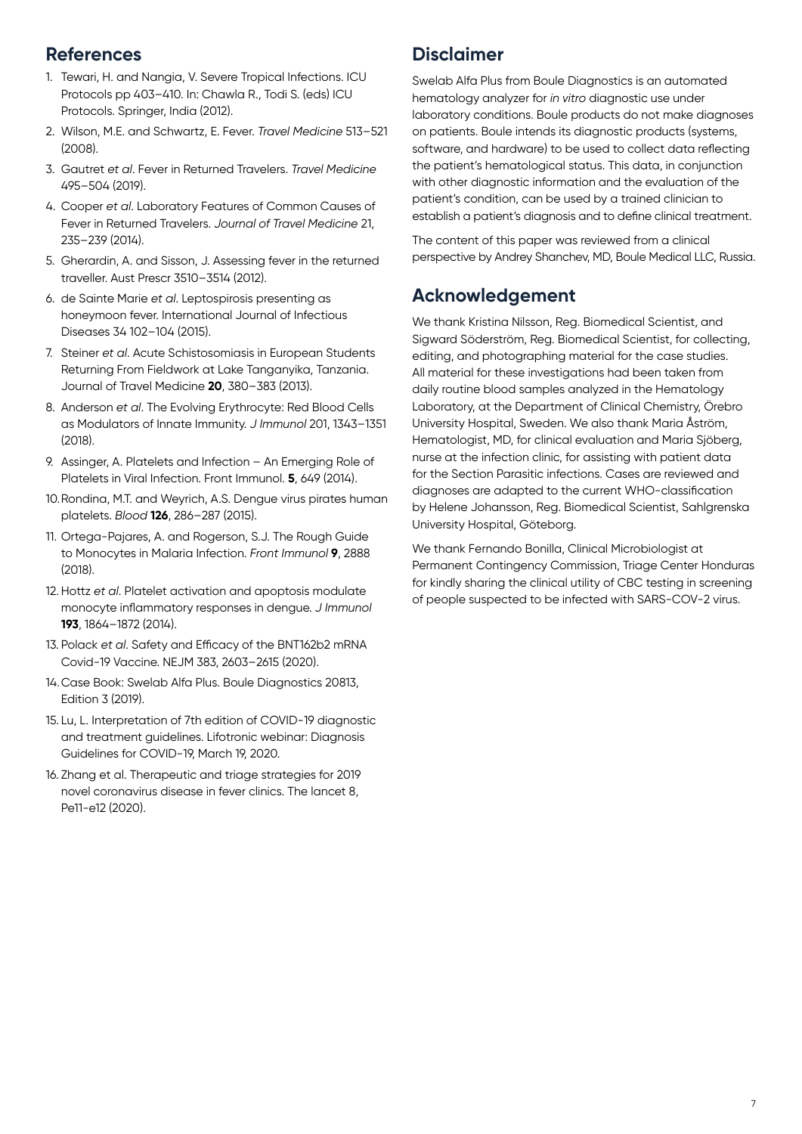## **References**

- 1. Tewari, H. and Nangia, V. Severe Tropical Infections. ICU Protocols pp 403–410. In: Chawla R., Todi S. (eds) ICU Protocols. Springer, India (2012).
- 2. Wilson, M.E. and Schwartz, E. Fever. *Travel Medicine* 513–521 (2008).
- 3. Gautret *et al*. Fever in Returned Travelers. *Travel Medicine* 495–504 (2019).
- 4. Cooper *et al*. Laboratory Features of Common Causes of Fever in Returned Travelers. *Journal of Travel Medicine* 21, 235–239 (2014).
- 5. Gherardin, A. and Sisson, J. Assessing fever in the returned traveller. Aust Prescr 3510–3514 (2012).
- 6. de Sainte Marie *et al*. Leptospirosis presenting as honeymoon fever. International Journal of Infectious Diseases 34 102–104 (2015).
- 7. Steiner *et al*. Acute Schistosomiasis in European Students Returning From Fieldwork at Lake Tanganyika, Tanzania. Journal of Travel Medicine **20**, 380–383 (2013).
- 8. Anderson *et al*. The Evolving Erythrocyte: Red Blood Cells as Modulators of Innate Immunity. *J Immunol* 201, 1343–1351 (2018).
- 9. Assinger, A. Platelets and Infection An Emerging Role of Platelets in Viral Infection. Front Immunol. **5**, 649 (2014).
- 10.Rondina, M.T. and Weyrich, A.S. Dengue virus pirates human platelets. *Blood* **126**, 286–287 (2015).
- 11. Ortega-Pajares, A. and Rogerson, S.J. The Rough Guide to Monocytes in Malaria Infection. *Front Immunol* **9**, 2888 (2018).
- 12.Hottz *et al*. Platelet activation and apoptosis modulate monocyte inflammatory responses in dengue. *J Immunol* **193**, 1864–1872 (2014).
- 13. Polack *et al*. Safety and Efficacy of the BNT162b2 mRNA Covid-19 Vaccine. NEJM 383, 2603–2615 (2020).
- 14.Case Book: Swelab Alfa Plus. Boule Diagnostics 20813, Edition 3 (2019).
- 15. Lu, L. Interpretation of 7th edition of COVID-19 diagnostic and treatment guidelines. Lifotronic webinar: Diagnosis Guidelines for COVID-19, March 19, 2020.
- 16. Zhang et al. Therapeutic and triage strategies for 2019 novel coronavirus disease in fever clinics. The lancet 8, Pe11-e12 (2020).

# **Disclaimer**

Swelab Alfa Plus from Boule Diagnostics is an automated hematology analyzer for *in vitro* diagnostic use under laboratory conditions. Boule products do not make diagnoses on patients. Boule intends its diagnostic products (systems, software, and hardware) to be used to collect data reflecting the patient's hematological status. This data, in conjunction with other diagnostic information and the evaluation of the patient's condition, can be used by a trained clinician to establish a patient's diagnosis and to define clinical treatment.

The content of this paper was reviewed from a clinical perspective by Andrey Shanchev, MD, Boule Medical LLC, Russia.

# **Acknowledgement**

We thank Kristina Nilsson, Reg. Biomedical Scientist, and Sigward Söderström, Reg. Biomedical Scientist, for collecting, editing, and photographing material for the case studies. All material for these investigations had been taken from daily routine blood samples analyzed in the Hematology Laboratory, at the Department of Clinical Chemistry, Örebro University Hospital, Sweden. We also thank Maria Åström, Hematologist, MD, for clinical evaluation and Maria Sjöberg, nurse at the infection clinic, for assisting with patient data for the Section Parasitic infections. Cases are reviewed and diagnoses are adapted to the current WHO-classification by Helene Johansson, Reg. Biomedical Scientist, Sahlgrenska University Hospital, Göteborg.

We thank Fernando Bonilla, Clinical Microbiologist at Permanent Contingency Commission, Triage Center Honduras for kindly sharing the clinical utility of CBC testing in screening of people suspected to be infected with SARS-COV-2 virus.